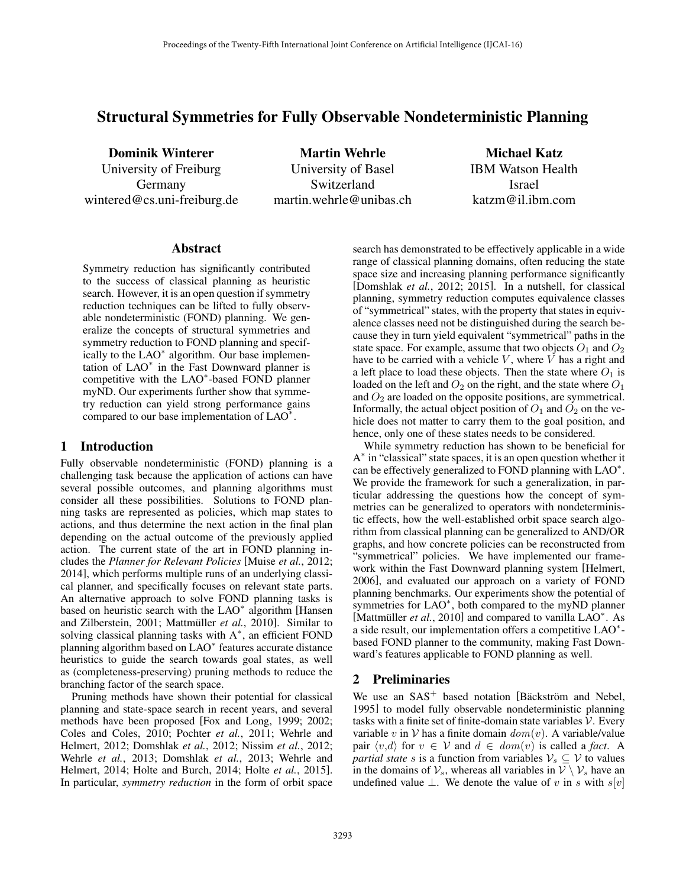# Structural Symmetries for Fully Observable Nondeterministic Planning

Dominik Winterer University of Freiburg Germany wintered@cs.uni-freiburg.de

Martin Wehrle University of Basel Switzerland martin.wehrle@unibas.ch

Michael Katz IBM Watson Health Israel katzm@il.ibm.com

#### Abstract

Symmetry reduction has significantly contributed to the success of classical planning as heuristic search. However, it is an open question if symmetry reduction techniques can be lifted to fully observable nondeterministic (FOND) planning. We generalize the concepts of structural symmetries and symmetry reduction to FOND planning and specifically to the LAO<sup>\*</sup> algorithm. Our base implementation of  $LAO^*$  in the Fast Downward planner is competitive with the LAO<sup>\*</sup>-based FOND planner myND. Our experiments further show that symmetry reduction can yield strong performance gains compared to our base implementation of LAO<sup>\*</sup>.

# 1 Introduction

Fully observable nondeterministic (FOND) planning is a challenging task because the application of actions can have several possible outcomes, and planning algorithms must consider all these possibilities. Solutions to FOND planning tasks are represented as policies, which map states to actions, and thus determine the next action in the final plan depending on the actual outcome of the previously applied action. The current state of the art in FOND planning includes the *Planner for Relevant Policies* [Muise *et al.*, 2012; 2014], which performs multiple runs of an underlying classical planner, and specifically focuses on relevant state parts. An alternative approach to solve FOND planning tasks is based on heuristic search with the  $LAO^*$  algorithm [Hansen and Zilberstein, 2001; Mattmüller *et al.*, 2010]. Similar to solving classical planning tasks with  $A^*$ , an efficient FOND planning algorithm based on LAO<sup>\*</sup> features accurate distance heuristics to guide the search towards goal states, as well as (completeness-preserving) pruning methods to reduce the branching factor of the search space.

Pruning methods have shown their potential for classical planning and state-space search in recent years, and several methods have been proposed [Fox and Long, 1999; 2002; Coles and Coles, 2010; Pochter *et al.*, 2011; Wehrle and Helmert, 2012; Domshlak *et al.*, 2012; Nissim *et al.*, 2012; Wehrle *et al.*, 2013; Domshlak *et al.*, 2013; Wehrle and Helmert, 2014; Holte and Burch, 2014; Holte *et al.*, 2015]. In particular, *symmetry reduction* in the form of orbit space search has demonstrated to be effectively applicable in a wide range of classical planning domains, often reducing the state space size and increasing planning performance significantly [Domshlak *et al.*, 2012; 2015]. In a nutshell, for classical planning, symmetry reduction computes equivalence classes of "symmetrical" states, with the property that states in equivalence classes need not be distinguished during the search because they in turn yield equivalent "symmetrical" paths in the state space. For example, assume that two objects  $O_1$  and  $O_2$ have to be carried with a vehicle *V*, where *V* has a right and a left place to load these objects. Then the state where  $O_1$  is loaded on the left and  $O_2$  on the right, and the state where  $O_1$ and *O*<sup>2</sup> are loaded on the opposite positions, are symmetrical. Informally, the actual object position of  $O_1$  and  $O_2$  on the vehicle does not matter to carry them to the goal position, and hence, only one of these states needs to be considered.

While symmetry reduction has shown to be beneficial for  $A^*$  in "classical" state spaces, it is an open question whether it can be effectively generalized to FOND planning with LAO<sup>\*</sup>. We provide the framework for such a generalization, in particular addressing the questions how the concept of symmetries can be generalized to operators with nondeterministic effects, how the well-established orbit space search algorithm from classical planning can be generalized to AND/OR graphs, and how concrete policies can be reconstructed from "symmetrical" policies. We have implemented our framework within the Fast Downward planning system [Helmert, 2006], and evaluated our approach on a variety of FOND planning benchmarks. Our experiments show the potential of symmetries for LAO<sup>\*</sup>, both compared to the myND planner [Mattmüller *et al.*, 2010] and compared to vanilla LAO<sup>\*</sup>. As a side result, our implementation offers a competitive LAO<sup>\*</sup>based FOND planner to the community, making Fast Downward's features applicable to FOND planning as well.

# 2 Preliminaries

We use an  $SAS^+$  based notation [Bäckström and Nebel, 1995] to model fully observable nondeterministic planning tasks with a finite set of finite-domain state variables *V*. Every variable *v* in *V* has a finite domain  $dom(v)$ . A variable/value pair  $\langle v, d \rangle$  for  $v \in V$  and  $d \in dom(v)$  is called a *fact*. A *partial state s* is a function from variables  $V_s \subseteq V$  to values in the domains of  $V_s$ , whereas all variables in  $V \setminus V_s$  have an undefined value  $\perp$ . We denote the value of *v* in *s* with *s*[*v*]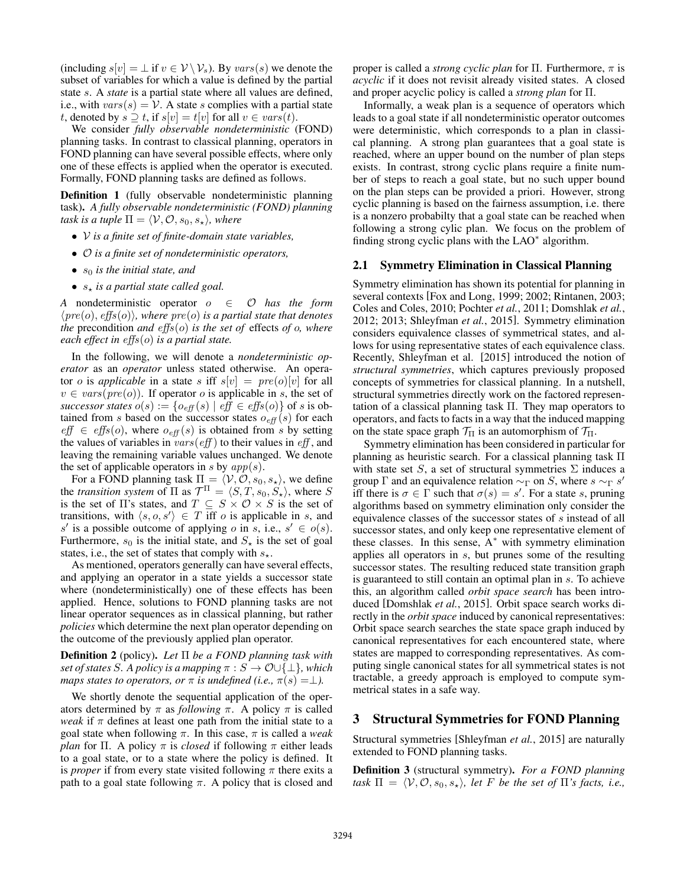(including  $s[v] = \perp$  if  $v \in V \setminus V_s$ ). By *vars*(*s*) we denote the subset of variables for which a value is defined by the partial state *s*. A *state* is a partial state where all values are defined, i.e., with  $vars(s) = V$ . A state *s* complies with a partial state  $t$ , denoted by  $s \supseteq t$ , if  $s[v] = t[v]$  for all  $v \in vars(t)$ .

We consider *fully observable nondeterministic* (FOND) planning tasks. In contrast to classical planning, operators in FOND planning can have several possible effects, where only one of these effects is applied when the operator is executed. Formally, FOND planning tasks are defined as follows.

Definition 1 (fully observable nondeterministic planning task). *A fully observable nondeterministic (FOND) planning task is a tuple*  $\Pi = \langle V, \mathcal{O}, s_0, s_\star \rangle$ *, where* 

- *V is a finite set of finite-domain state variables,*
- *O is a finite set of nondeterministic operators,*
- *• s*<sup>0</sup> *is the initial state, and*
- $s_{\star}$  *is a partial state called goal.*

*A* nondeterministic operator  $o \in O$  *has the form*  $\langle pre(o), \text{effs}(o) \rangle$ , where  $pre(o)$  is a partial state that denotes *the* precondition *and*  $effs(o)$  *is the set of* effects *of o*, *where each effect in effs(o) is a partial state.* 

In the following, we will denote a *nondeterministic operator* as an *operator* unless stated otherwise. An operator *o* is *applicable* in a state *s* iff  $s[v] = pre(o)[v]$  for all  $v \in vars(pre(o))$ . If operator *o* is applicable in *s*, the set of *successor states*  $o(s) := \{o_{\text{eff}}(s) \mid \text{eff} \in \text{effs}(o)\}\$  of *s* is obtained from *s* based on the successor states  $o_{\text{eff}}(s)$  for each  $\text{eff} \in \text{effs}(o)$ , where  $o_{\text{eff}}(s)$  is obtained from *s* by setting the values of variables in  $vars(eff)$  to their values in  $eff$ , and leaving the remaining variable values unchanged. We denote the set of applicable operators in *s* by *app*(*s*).

For a FOND planning task  $\Pi = \langle V, \mathcal{O}, s_0, s_\star \rangle$ , we define the *transition system* of  $\Pi$  as  $\mathcal{T}^{\Pi} = \langle S, T, s_0, S_{\star} \rangle$ , where *S* is the set of  $\Pi$ 's states, and  $T \subseteq S \times O \times S$  is the set of transitions, with  $\langle s, o, s' \rangle \in T$  iff *o* is applicable in *s*, and *s'* is a possible outcome of applying *o* in *s*, i.e.,  $s' \in o(s)$ . Furthermore,  $s_0$  is the initial state, and  $S_{\star}$  is the set of goal states, i.e., the set of states that comply with  $s_{\star}$ .

As mentioned, operators generally can have several effects, and applying an operator in a state yields a successor state where (nondeterministically) one of these effects has been applied. Hence, solutions to FOND planning tasks are not linear operator sequences as in classical planning, but rather *policies* which determine the next plan operator depending on the outcome of the previously applied plan operator.

**Definition 2** (policy). Let  $\Pi$  be a FOND planning task with *set of states S. A policy is a mapping*  $\pi : S \rightarrow \mathcal{O} \cup \{\perp\}$ *, which maps states to operators, or*  $\pi$  *is undefined (i.e.,*  $\pi(s) = \perp$ *).* 

We shortly denote the sequential application of the operators determined by  $\pi$  as *following*  $\pi$ . A policy  $\pi$  is called *weak* if  $\pi$  defines at least one path from the initial state to a goal state when following  $\pi$ . In this case,  $\pi$  is called a *weak plan* for  $\Pi$ . A policy  $\pi$  is *closed* if following  $\pi$  either leads to a goal state, or to a state where the policy is defined. It is *proper* if from every state visited following  $\pi$  there exits a path to a goal state following  $\pi$ . A policy that is closed and proper is called a *strong cyclic plan* for  $\Pi$ . Furthermore,  $\pi$  is *acyclic* if it does not revisit already visited states. A closed and proper acyclic policy is called a *strong plan* for  $\Pi$ .

Informally, a weak plan is a sequence of operators which leads to a goal state if all nondeterministic operator outcomes were deterministic, which corresponds to a plan in classical planning. A strong plan guarantees that a goal state is reached, where an upper bound on the number of plan steps exists. In contrast, strong cyclic plans require a finite number of steps to reach a goal state, but no such upper bound on the plan steps can be provided a priori. However, strong cyclic planning is based on the fairness assumption, i.e. there is a nonzero probabilty that a goal state can be reached when following a strong cylic plan. We focus on the problem of finding strong cyclic plans with the  $LAO^*$  algorithm.

#### 2.1 Symmetry Elimination in Classical Planning

Symmetry elimination has shown its potential for planning in several contexts [Fox and Long, 1999; 2002; Rintanen, 2003; Coles and Coles, 2010; Pochter *et al.*, 2011; Domshlak *et al.*, 2012; 2013; Shleyfman *et al.*, 2015]. Symmetry elimination considers equivalence classes of symmetrical states, and allows for using representative states of each equivalence class. Recently, Shleyfman et al. [2015] introduced the notion of *structural symmetries*, which captures previously proposed concepts of symmetries for classical planning. In a nutshell, structural symmetries directly work on the factored representation of a classical planning task  $\Pi$ . They map operators to operators, and facts to facts in a way that the induced mapping on the state space graph  $\mathcal{T}_{\Pi}$  is an automorphism of  $\mathcal{T}_{\Pi}$ .

Symmetry elimination has been considered in particular for planning as heuristic search. For a classical planning task  $\Pi$ with state set *S*, a set of structural symmetries  $\Sigma$  induces a group  $\Gamma$  and an equivalence relation  $\sim_{\Gamma}$  on *S*, where  $s \sim_{\Gamma} s'$ iff there is  $\sigma \in \Gamma$  such that  $\sigma(s) = s'$ . For a state *s*, pruning algorithms based on symmetry elimination only consider the equivalence classes of the successor states of *s* instead of all successor states, and only keep one representative element of these classes. In this sense,  $A^*$  with symmetry elimination applies all operators in *s*, but prunes some of the resulting successor states. The resulting reduced state transition graph is guaranteed to still contain an optimal plan in *s*. To achieve this, an algorithm called *orbit space search* has been introduced [Domshlak *et al.*, 2015]. Orbit space search works directly in the *orbit space* induced by canonical representatives: Orbit space search searches the state space graph induced by canonical representatives for each encountered state, where states are mapped to corresponding representatives. As computing single canonical states for all symmetrical states is not tractable, a greedy approach is employed to compute symmetrical states in a safe way.

# 3 Structural Symmetries for FOND Planning

Structural symmetries [Shleyfman *et al.*, 2015] are naturally extended to FOND planning tasks.

Definition 3 (structural symmetry). *For a FOND planning task*  $\Pi = \langle V, \mathcal{O}, s_0, s_* \rangle$ , let *F be the set of*  $\Pi$ *'s facts, i.e.,*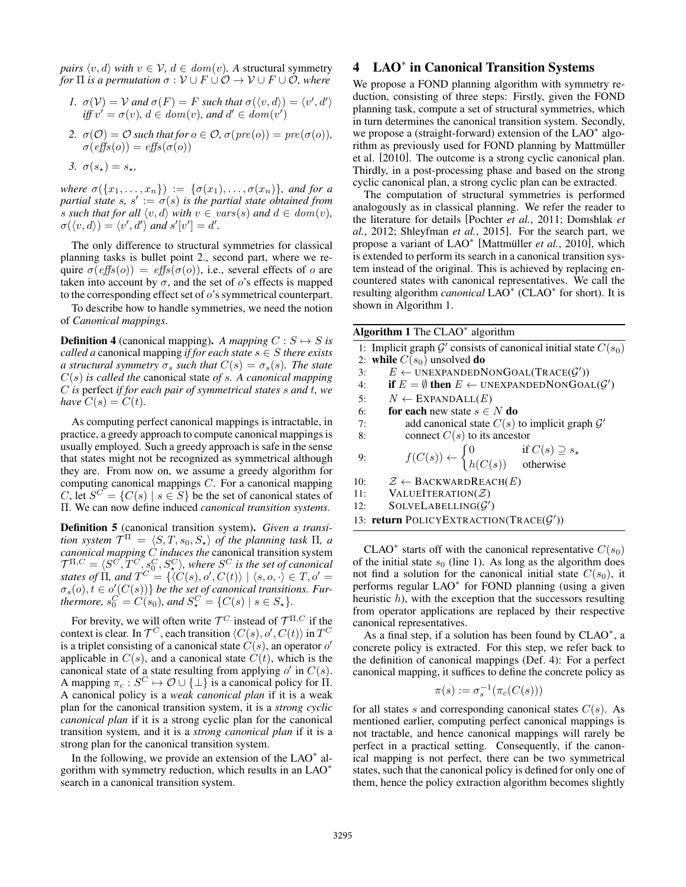*pairs*  $\langle v, d \rangle$  *with*  $v \in V$ ,  $d \in dom(v)$ . A structural symmetry *for*  $\Pi$  *is a permutation*  $\sigma : \mathcal{V} \cup F \cup \mathcal{O} \rightarrow \mathcal{V} \cup F \cup \mathcal{O}$ *, where* 

- *1.*  $\sigma(V) = V$  and  $\sigma(F) = F$  such that  $\sigma(\langle v, d \rangle) = \langle v', d' \rangle$ *iff*  $v' = \sigma(v)$ *,*  $d \in dom(v)$ *, and*  $d' \in dom(v')$
- 2.  $\sigma(\mathcal{O}) = \mathcal{O}$  *such that for*  $o \in \mathcal{O}$ ,  $\sigma(\textit{pre}(o)) = \textit{pre}(\sigma(o))$ ,  $\sigma$ (*effs*(*o*)) = *effs*( $\sigma$ (*o*))
- *3.*  $\sigma(s_{\star}) = s_{\star}$

*where*  $\sigma(\{x_1, ..., x_n\}) := \{\sigma(x_1), ..., \sigma(x_n)\}$ *, and for a partial state s*,  $s' := \sigma(s)$  *is the partial state obtained from s such that for all*  $\langle v, d \rangle$  *with*  $v \in vars(s)$  *and*  $d \in dom(v)$ *,*  $\sigma(\langle v, d \rangle) = \langle v', d' \rangle$  and  $s'[v'] = d'.$ 

The only difference to structural symmetries for classical planning tasks is bullet point 2., second part, where we require  $\sigma(effs(o)) = effs(\sigma(o))$ , i.e., several effects of *o* are taken into account by  $\sigma$ , and the set of  $\sigma$ 's effects is mapped to the corresponding effect set of *o*'s symmetrical counterpart.

To describe how to handle symmetries, we need the notion of *Canonical mappings*.

**Definition 4** (canonical mapping). A mapping  $C : S \mapsto S$  is *called a* canonical mapping *if for each state*  $s \in S$  *there exists a structural symmetry*  $\sigma_s$  *such that*  $C(s) = \sigma_s(s)$ *. The state C*(*s*) *is called the* canonical state *of s. A canonical mapping C is* perfect *if for each pair of symmetrical states s and t, we have*  $C(s) = C(t)$ *.* 

As computing perfect canonical mappings is intractable, in practice, a greedy approach to compute canonical mappings is usually employed. Such a greedy approach is safe in the sense that states might not be recognized as symmetrical although they are. From now on, we assume a greedy algorithm for computing canonical mappings *C*. For a canonical mapping *C*, let  $S^C = \{C(s) \mid s \in S\}$  be the set of canonical states of ⇧. We can now define induced *canonical transition systems*.

Definition 5 (canonical transition system). *Given a transition system*  $\mathcal{T}^{\Pi} = \langle S, T, s_0, S_{\star} \rangle$  *of the planning task*  $\Pi$ *, a canonical mapping C induces the* canonical transition system  $\mathcal{T}^{\Pi,C} = \langle S^C, T^C, s^C_0, S^C_{\star} \rangle$ , where  $S^C$  is the set of canonical *states of*  $\Pi$ *, and*  $T^C = \{ \langle C(s), o', C(t) \rangle \mid \langle s, o, \cdot \rangle \in T, o' =$  $\sigma_s(o), t \in o'(C(s))$  *be the set of canonical transitions. Furthermore,*  $s_0^C = C(s_0)$ *, and*  $S^C_* = \{C(s) \mid s \in S_*\}$ *.* 

For brevity, we will often write  $\mathcal{T}^C$  instead of  $\mathcal{T}^{\Pi,C}$  if the context is clear. In  $\mathcal{T}^C$ , each transition  $\langle C(s), o', C(t) \rangle$  in  $T^C$ is a triplet consisting of a canonical state  $C(s)$ , an operator  $o'$ applicable in  $C(s)$ , and a canonical state  $C(t)$ , which is the canonical state of a state resulting from applying  $o'$  in  $C(s)$ . A mapping  $\pi_c : S^C \mapsto \mathcal{O} \cup \{\perp\}$  is a canonical policy for  $\Pi$ . A canonical policy is a *weak canonical plan* if it is a weak plan for the canonical transition system, it is a *strong cyclic canonical plan* if it is a strong cyclic plan for the canonical transition system, and it is a *strong canonical plan* if it is a strong plan for the canonical transition system.

In the following, we provide an extension of the  $LAO^*$  algorithm with symmetry reduction, which results in an  $LAO^*$ search in a canonical transition system.

# 4 LAO<sup>\*</sup> in Canonical Transition Systems

We propose a FOND planning algorithm with symmetry reduction, consisting of three steps: Firstly, given the FOND planning task, compute a set of structural symmetries, which in turn determines the canonical transition system. Secondly, we propose a (straight-forward) extension of the  $LAO^*$  algorithm as previously used for FOND planning by Mattmüller et al. [2010]. The outcome is a strong cyclic canonical plan. Thirdly, in a post-processing phase and based on the strong cyclic canonical plan, a strong cyclic plan can be extracted.

The computation of structural symmetries is performed analogously as in classical planning. We refer the reader to the literature for details [Pochter *et al.*, 2011; Domshlak *et al.*, 2012; Shleyfman *et al.*, 2015]. For the search part, we propose a variant of LAO<sup>\*</sup> [Mattmüller et al., 2010], which is extended to perform its search in a canonical transition system instead of the original. This is achieved by replacing encountered states with canonical representatives. We call the resulting algorithm *canonical* LAO<sup>\*</sup> (CLAO<sup>\*</sup> for short). It is shown in Algorithm 1.

| Algorithm 1 The $CLAO^*$ algorithm                                            |                                                                                                                    |  |  |  |  |
|-------------------------------------------------------------------------------|--------------------------------------------------------------------------------------------------------------------|--|--|--|--|
| 1: Implicit graph $\mathcal{G}'$ consists of canonical initial state $C(s_0)$ |                                                                                                                    |  |  |  |  |
| 2: while $C(s_0)$ unsolved do                                                 |                                                                                                                    |  |  |  |  |
| $\overline{3}$ :                                                              | $E \leftarrow$ UNEXPANDEDNONGOAL(TRACE( $\mathcal{G}'$ ))                                                          |  |  |  |  |
| 4:                                                                            | if $E = \emptyset$ then $E \leftarrow$ UNEXPANDEDNONGOAL $(\mathcal{G}')$                                          |  |  |  |  |
| 5:                                                                            | $N \leftarrow$ EXPANDALL $(E)$                                                                                     |  |  |  |  |
| 6:                                                                            | <b>for each</b> new state $s \in N$ <b>do</b>                                                                      |  |  |  |  |
| 7:                                                                            | add canonical state $C(s)$ to implicit graph $\mathcal{G}'$                                                        |  |  |  |  |
| 8:                                                                            | connect $C(s)$ to its ancestor                                                                                     |  |  |  |  |
| 9:                                                                            |                                                                                                                    |  |  |  |  |
|                                                                               | $f(C(s)) \leftarrow \begin{cases} 0 & \text{if } C(s) \supseteq s_\star \\ h(C(s)) & \text{otherwise} \end{cases}$ |  |  |  |  |
| 10:                                                                           | $\mathcal{Z} \leftarrow$ BACKWARDREACH $(E)$                                                                       |  |  |  |  |
| 11:                                                                           | VALUEITERATION( $Z$ )                                                                                              |  |  |  |  |
| 12:                                                                           | $SOLVELABELLING(\mathcal{G}')$                                                                                     |  |  |  |  |
| 13: return POLICYEXTRACTION(TRACE(G'))                                        |                                                                                                                    |  |  |  |  |

CLAO<sup>\*</sup> starts off with the canonical representative  $C(s_0)$ of the initial state  $s_0$  (line 1). As long as the algorithm does not find a solution for the canonical initial state  $C(s_0)$ , it performs regular  $LAO^*$  for FOND planning (using a given heuristic *h*), with the exception that the successors resulting from operator applications are replaced by their respective canonical representatives.

As a final step, if a solution has been found by  $CLAO^*$ , a concrete policy is extracted. For this step, we refer back to the definition of canonical mappings (Def. 4): For a perfect canonical mapping, it suffices to define the concrete policy as

$$
\pi(s) := \sigma_s^{-1}(\pi_c(C(s)))
$$

for all states *s* and corresponding canonical states *C*(*s*). As mentioned earlier, computing perfect canonical mappings is not tractable, and hence canonical mappings will rarely be perfect in a practical setting. Consequently, if the canonical mapping is not perfect, there can be two symmetrical states, such that the canonical policy is defined for only one of them, hence the policy extraction algorithm becomes slightly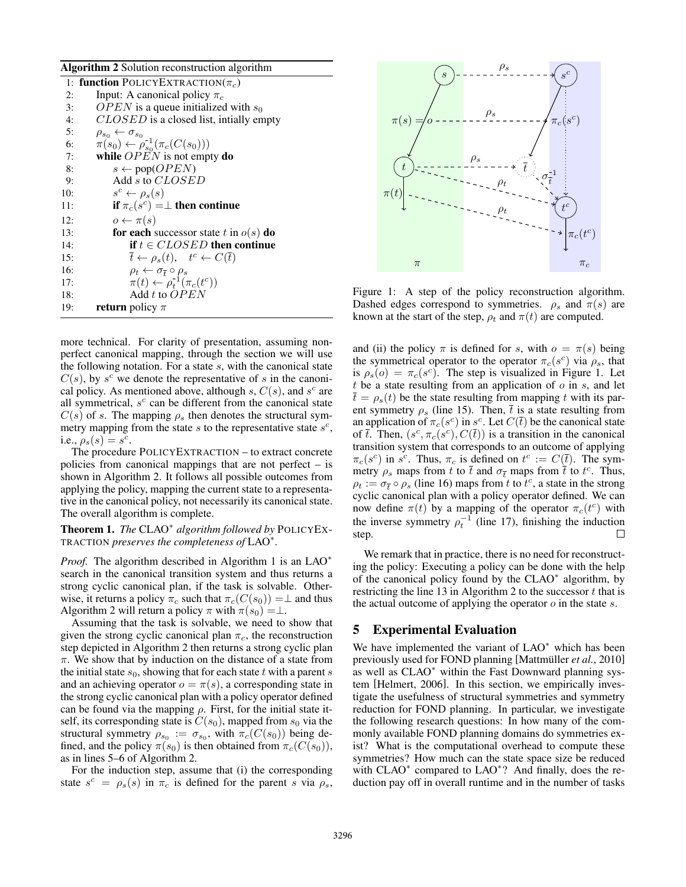Algorithm 2 Solution reconstruction algorithm

|     | 1: function POLICYEXTRACTION( $\pi_c$ )                                                               |
|-----|-------------------------------------------------------------------------------------------------------|
| 2:  | Input: A canonical policy $\pi_c$                                                                     |
| 3:  | <i>OPEN</i> is a queue initialized with $s_0$                                                         |
| 4:  | CLOSED is a closed list, initally empty                                                               |
| 5:  |                                                                                                       |
| 6:  | $\rho_{s_0} \leftarrow \sigma_{s_0}$ $\pi(s_0) \leftarrow \rho_{s_0}^{-1}(\pi_c(C(s_0)))$             |
| 7:  | while $OPEN$ is not empty do                                                                          |
| 8:  | $s \leftarrow \text{pop}(\text{OPEN})$                                                                |
| 9:  | Add s to CLOSED                                                                                       |
| 10: | $s^c \leftarrow \rho_s(s)$                                                                            |
| 11: | if $\pi_c(s^c) = \perp$ then continue                                                                 |
| 12: | $o \leftarrow \pi(s)$                                                                                 |
| 13: | for each successor state t in $o(s)$ do                                                               |
| 14: | if $t \in CLOSED$ then continue                                                                       |
| 15: | $\overline{t} \leftarrow \rho_s(t), \quad t^c \leftarrow C(\overline{t})$                             |
| 16: |                                                                                                       |
| 17: | $\rho_t \leftarrow \sigma_{\overline{t}} \circ \rho_s$<br>$\pi(t) \leftarrow \rho_t^{-1}(\pi_c(t^c))$ |
| 18: | Add t to $OPEN$                                                                                       |
| 19: | <b>return</b> policy $\pi$                                                                            |
|     |                                                                                                       |

more technical. For clarity of presentation, assuming nonperfect canonical mapping, through the section we will use the following notation. For a state *s*, with the canonical state  $C(s)$ , by  $s^c$  we denote the representative of *s* in the canonical policy. As mentioned above, although  $s$ ,  $C(s)$ , and  $s<sup>c</sup>$  are all symmetrical, *s<sup>c</sup>* can be different from the canonical state  $C(s)$  of *s*. The mapping  $\rho_s$  then denotes the structural symmetry mapping from the state *s* to the representative state *s<sup>c</sup>*, i.e.,  $\rho_s(s) = s^c$ .

The procedure POLICYEXTRACTION – to extract concrete policies from canonical mappings that are not perfect – is shown in Algorithm 2. It follows all possible outcomes from applying the policy, mapping the current state to a representative in the canonical policy, not necessarily its canonical state. The overall algorithm is complete.

Theorem 1. *The* CLAO<sup>\*</sup> algorithm followed by POLICYEX-TRACTION *preserves the completeness of* LAO<sup>\*</sup>.

*Proof.* The algorithm described in Algorithm 1 is an LAO<sup>\*</sup> search in the canonical transition system and thus returns a strong cyclic canonical plan, if the task is solvable. Otherwise, it returns a policy  $\pi_c$  such that  $\pi_c(C(s_0)) = \perp$  and thus Algorithm 2 will return a policy  $\pi$  with  $\pi(s_0) = \perp$ .

Assuming that the task is solvable, we need to show that given the strong cyclic canonical plan  $\pi_c$ , the reconstruction step depicted in Algorithm 2 then returns a strong cyclic plan  $\pi$ . We show that by induction on the distance of a state from the initial state  $s_0$ , showing that for each state  $t$  with a parent  $s$ and an achieving operator  $o = \pi(s)$ , a corresponding state in the strong cyclic canonical plan with a policy operator defined can be found via the mapping  $\rho$ . First, for the initial state itself, its corresponding state is  $C(s_0)$ , mapped from  $s_0$  via the structural symmetry  $\rho_{s_0} := \sigma_{s_0}$ , with  $\pi_c(C(s_0))$  being defined, and the policy  $\pi(s_0)$  is then obtained from  $\pi_c(C(s_0))$ , as in lines 5–6 of Algorithm 2.

For the induction step, assume that (i) the corresponding state  $s^c = \rho_s(s)$  in  $\pi_c$  is defined for the parent *s* via  $\rho_s$ ,



Figure 1: A step of the policy reconstruction algorithm. Dashed edges correspond to symmetries.  $\rho_s$  and  $\pi(s)$  are known at the start of the step,  $\rho_t$  and  $\pi(t)$  are computed.

and (ii) the policy  $\pi$  is defined for *s*, with  $o = \pi(s)$  being the symmetrical operator to the operator  $\pi_c(s^c)$  via  $\rho_s$ , that is  $\rho_s(o) = \pi_c(s^c)$ . The step is visualized in Figure 1. Let *t* be a state resulting from an application of *o* in *s*, and let  $t = \rho_s(t)$  be the state resulting from mapping *t* with its parent symmetry  $\rho_s$  (line 15). Then, *t* is a state resulting from an application of  $\pi_c(s^c)$  in  $s^c$ . Let  $C(\bar{t})$  be the canonical state of  $\bar{t}$ . Then,  $(s^c, \pi_c(s^c), C(\bar{t}))$  is a transition in the canonical transition system that corresponds to an outcome of applying  $\pi_c(s^c)$  in  $s^c$ . Thus,  $\pi_c$  is defined on  $t^c := C(\bar{t})$ . The symmetry  $\rho_s$  maps from *t* to  $\bar{t}$  and  $\sigma_{\bar{t}}$  maps from  $\bar{t}$  to  $t^c$ . Thus,  $\rho_t := \sigma_{\overline{t}} \circ \rho_s$  (line 16) maps from *t* to  $t^c$ , a state in the strong cyclic canonical plan with a policy operator defined. We can now define  $\pi(t)$  by a mapping of the operator  $\pi_c(t^c)$  with the inverse symmetry  $\rho_t^{-1}$  (line 17), finishing the induction step.

We remark that in practice, there is no need for reconstructing the policy: Executing a policy can be done with the help of the canonical policy found by the CLAO<sup>\*</sup> algorithm, by restricting the line 13 in Algorithm 2 to the successor *t* that is the actual outcome of applying the operator *o* in the state *s*.

#### 5 Experimental Evaluation

We have implemented the variant of  $LAO^*$  which has been previously used for FOND planning [Mattmüller et al., 2010] as well as CLAO<sup>\*</sup> within the Fast Downward planning system [Helmert, 2006]. In this section, we empirically investigate the usefulness of structural symmetries and symmetry reduction for FOND planning. In particular, we investigate the following research questions: In how many of the commonly available FOND planning domains do symmetries exist? What is the computational overhead to compute these symmetries? How much can the state space size be reduced with  $CLAO^*$  compared to  $LAO^*$ ? And finally, does the reduction pay off in overall runtime and in the number of tasks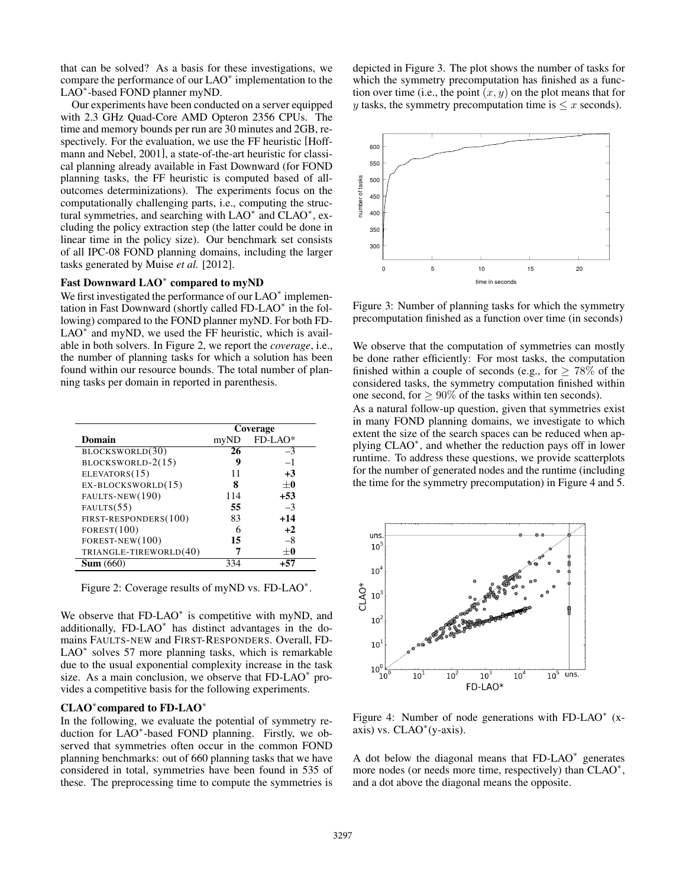that can be solved? As a basis for these investigations, we compare the performance of our LAO<sup>\*</sup> implementation to the LAO<sup>\*</sup>-based FOND planner myND.

Our experiments have been conducted on a server equipped with 2.3 GHz Quad-Core AMD Opteron 2356 CPUs. The time and memory bounds per run are 30 minutes and 2GB, respectively. For the evaluation, we use the FF heuristic [Hoffmann and Nebel, 2001], a state-of-the-art heuristic for classical planning already available in Fast Downward (for FOND planning tasks, the FF heuristic is computed based of alloutcomes determinizations). The experiments focus on the computationally challenging parts, i.e., computing the structural symmetries, and searching with  $LAO^*$  and  $CLAO^*$ , excluding the policy extraction step (the latter could be done in linear time in the policy size). Our benchmark set consists of all IPC-08 FOND planning domains, including the larger tasks generated by Muise *et al.* [2012].

#### Fast Downward LAO<sup>\*</sup> compared to myND

We first investigated the performance of our  $LAO^*$  implementation in Fast Downward (shortly called FD-LAO<sup>\*</sup> in the following) compared to the FOND planner myND. For both FD- $LAO<sup>*</sup>$  and myND, we used the FF heuristic, which is available in both solvers. In Figure 2, we report the *coverage*, i.e., the number of planning tasks for which a solution has been found within our resource bounds. The total number of planning tasks per domain in reported in parenthesis.

|                        | Coverage |         |  |
|------------------------|----------|---------|--|
| Domain                 | myND     | FD-LAO* |  |
| BLOCKSWORLD(30)        | 26       | $-3$    |  |
| BLOCKSWORLD-2(15)      | 9        | $-1$    |  |
| ELEVATORS(15)          | 11       | $+3$    |  |
| EX-BLOCKSWORLD(15)     | 8        | $+0$    |  |
| FAULTS-NEW(190)        | 114      | $+53$   |  |
| FAULTS(55)             | 55       | $-3$    |  |
| FIRST-RESPONDERS(100)  | 83       | $+14$   |  |
| FOREST(100)            | 6        | $+2$    |  |
| FOREST-NEW $(100)$     | 15       | $-8$    |  |
| TRIANGLE-TIREWORLD(40) |          | $+0$    |  |
| Sum(660)               | 334      | $+57$   |  |

Figure 2: Coverage results of myND vs. FD-LAO<sup>\*</sup>.

We observe that  $FD\text{-}LAO^*$  is competitive with myND, and additionally, FD-LAO<sup>\*</sup> has distinct advantages in the domains FAULTS-NEW and FIRST-RESPONDERS. Overall, FD- $LAO<sup>*</sup>$  solves 57 more planning tasks, which is remarkable due to the usual exponential complexity increase in the task size. As a main conclusion, we observe that  $FD-LAO*$  provides a competitive basis for the following experiments.

### CLAO<sup>\*</sup>compared to FD-LAO<sup>\*</sup>

In the following, we evaluate the potential of symmetry reduction for LAO<sup>\*</sup>-based FOND planning. Firstly, we observed that symmetries often occur in the common FOND planning benchmarks: out of 660 planning tasks that we have considered in total, symmetries have been found in 535 of these. The preprocessing time to compute the symmetries is depicted in Figure 3. The plot shows the number of tasks for which the symmetry precomputation has finished as a function over time (i.e., the point  $(x, y)$  on the plot means that for *y* tasks, the symmetry precomputation time is  $\leq x$  seconds).



Figure 3: Number of planning tasks for which the symmetry precomputation finished as a function over time (in seconds)

We observe that the computation of symmetries can mostly be done rather efficiently: For most tasks, the computation finished within a couple of seconds (e.g., for  $> 78\%$  of the considered tasks, the symmetry computation finished within one second, for  $> 90\%$  of the tasks within ten seconds).

As a natural follow-up question, given that symmetries exist in many FOND planning domains, we investigate to which extent the size of the search spaces can be reduced when applying CLAO<sup>\*</sup>, and whether the reduction pays off in lower runtime. To address these questions, we provide scatterplots for the number of generated nodes and the runtime (including the time for the symmetry precomputation) in Figure 4 and 5.



Figure 4: Number of node generations with FD-LAO<sup> $*$ </sup> (xaxis) vs.  $CLAO<sup>*</sup>(y-axis)$ .

A dot below the diagonal means that  $FD-LAO*$  generates more nodes (or needs more time, respectively) than CLAO<sup>\*</sup>, and a dot above the diagonal means the opposite.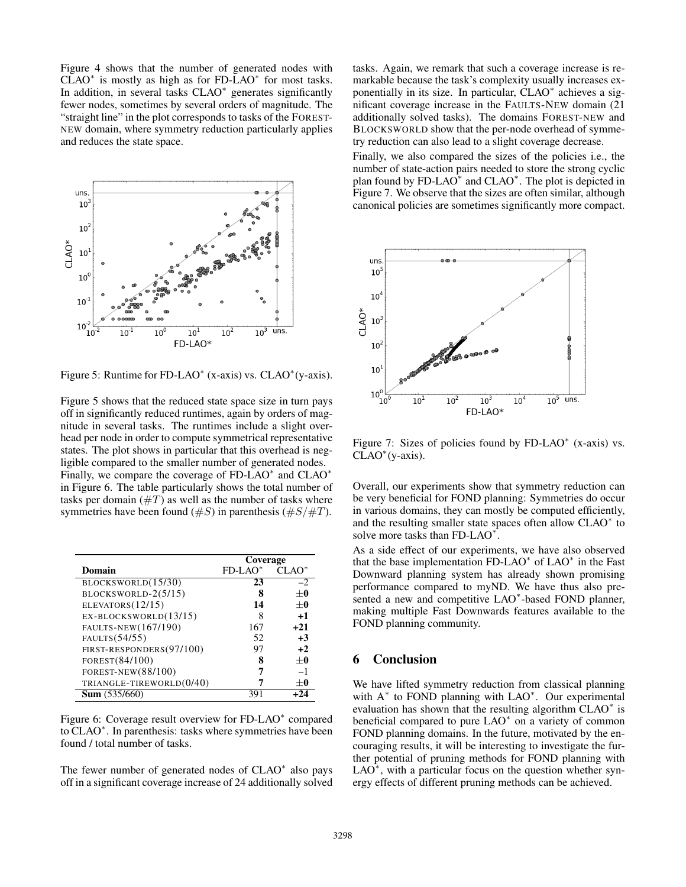Figure 4 shows that the number of generated nodes with  $CLAO^*$  is mostly as high as for FD-LAO<sup> $*$ </sup> for most tasks. In addition, in several tasks CLAO<sup>\*</sup> generates significantly fewer nodes, sometimes by several orders of magnitude. The "straight line" in the plot corresponds to tasks of the FOREST-NEW domain, where symmetry reduction particularly applies and reduces the state space.

![](_page_5_Figure_1.jpeg)

Figure 5: Runtime for FD-LAO<sup>\*</sup> (x-axis) vs. CLAO<sup>\*</sup> (y-axis).

Figure 5 shows that the reduced state space size in turn pays off in significantly reduced runtimes, again by orders of magnitude in several tasks. The runtimes include a slight overhead per node in order to compute symmetrical representative states. The plot shows in particular that this overhead is negligible compared to the smaller number of generated nodes. Finally, we compare the coverage of  $FD\text{-}LAO^*$  and  $CLAO^*$ in Figure 6. The table particularly shows the total number of tasks per domain  $(\#T)$  as well as the number of tasks where symmetries have been found (#*S*) in parenthesis (#*S/*#*T*).

|                          | Coverage  |          |
|--------------------------|-----------|----------|
| Domain                   | $FD-LAO*$ | $CLAO^*$ |
| BLOCKSWORLD(15/30)       | 23        | $-2$     |
| BLOCKSWORLD-2(5/15)      | 8         | $+0$     |
| ELEVATORS $(12/15)$      | 14        | $+0$     |
| EX-BLOCKSWORLD(13/15)    |           | $+1$     |
| FAULTS-NEW(167/190)      | 167       | $+21$    |
| FAULTS(54/55)            | 52        | $+3$     |
| FIRST-RESPONDERS(97/100) | 97        | $+2$     |
| FOREST(84/100)           |           | $+0$     |
| FOREST-NEW(88/100)       |           | $-1$     |
| TRIANGLE-TIREWORLD(0/40) |           | $+0$     |
| <b>Sum</b> $(535/660)$   | 39        |          |

Figure 6: Coverage result overview for FD-LAO<sup>\*</sup> compared to CLAO<sup>\*</sup>. In parenthesis: tasks where symmetries have been found / total number of tasks.

The fewer number of generated nodes of  $CLAO^*$  also pays off in a significant coverage increase of 24 additionally solved tasks. Again, we remark that such a coverage increase is remarkable because the task's complexity usually increases exponentially in its size. In particular,  $CLAO<sup>*</sup>$  achieves a significant coverage increase in the FAULTS-NEW domain (21 additionally solved tasks). The domains FOREST-NEW and BLOCKSWORLD show that the per-node overhead of symmetry reduction can also lead to a slight coverage decrease.

Finally, we also compared the sizes of the policies *i.e.*, the number of state-action pairs needed to store the strong cyclic plan found by  $FD\text{-}LAO^*$  and  $CLAO^*$ . The plot is depicted in Figure 7. We observe that the sizes are often similar, although canonical policies are sometimes significantly more compact.

![](_page_5_Figure_9.jpeg)

Figure 7: Sizes of policies found by  $FD-LAO^*$  (x-axis) vs.  $CLAO*(y-axis)$ .

Overall, our experiments show that symmetry reduction can be very beneficial for FOND planning: Symmetries do occur in various domains, they can mostly be computed efficiently, and the resulting smaller state spaces often allow CLAO<sup>\*</sup> to solve more tasks than FD-LAO<sup>\*</sup>.

As a side effect of our experiments, we have also observed that the base implementation  $FD\text{-}LAO^*$  of  $LAO^*$  in the Fast Downward planning system has already shown promising performance compared to myND. We have thus also presented a new and competitive LAO<sup>\*</sup>-based FOND planner, making multiple Fast Downwards features available to the FOND planning community.

# 6 Conclusion

We have lifted symmetry reduction from classical planning with  $A^*$  to FOND planning with LAO<sup>\*</sup>. Our experimental evaluation has shown that the resulting algorithm  $CLAO^*$  is beneficial compared to pure  $LAO^*$  on a variety of common FOND planning domains. In the future, motivated by the encouraging results, it will be interesting to investigate the further potential of pruning methods for FOND planning with  $LAO^*$ , with a particular focus on the question whether synergy effects of different pruning methods can be achieved.